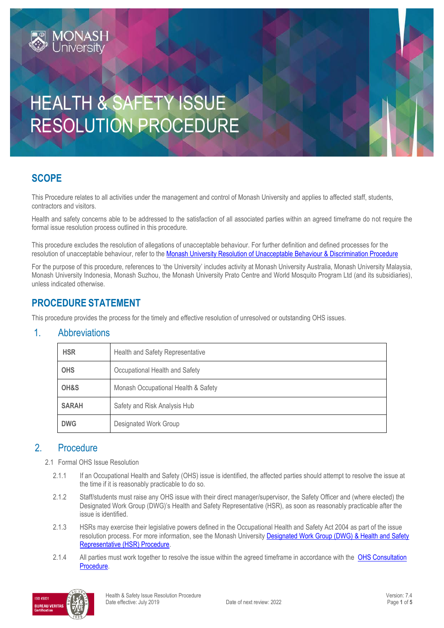# HEALTH & SAFETY ISSUE RESOLUTION PROCEDURE

## **SCOPE**

This Procedure relates to all activities under the management and control of Monash University and applies to affected staff, students, contractors and visitors.

Health and safety concerns able to be addressed to the satisfaction of all associated parties within an agreed timeframe do not require the formal issue resolution process outlined in this procedure.

This procedure excludes the resolution of allegations of unacceptable behaviour. For further definition and defined processes for the resolution of unacceptable behaviour, refer to the [Monash University Resolution of Unacceptable Behaviour & Discrimination Procedure](https://publicpolicydms.monash.edu/Monash/documents/1935718)

For the purpose of this procedure, references to 'the University' includes activity at Monash University Australia, Monash University Malaysia, Monash University Indonesia, Monash Suzhou, the Monash University Prato Centre and World Mosquito Program Ltd (and its subsidiaries), unless indicated otherwise.

## **PROCEDURE STATEMENT**

IONASH

This procedure provides the process for the timely and effective resolution of unresolved or outstanding OHS issues.

### 1. Abbreviations

| <b>HSR</b>   | Health and Safety Representative    |  |
|--------------|-------------------------------------|--|
| <b>OHS</b>   | Occupational Health and Safety      |  |
| OH&S         | Monash Occupational Health & Safety |  |
| <b>SARAH</b> | Safety and Risk Analysis Hub        |  |
| <b>DWG</b>   | Designated Work Group               |  |

### 2. Procedure

- 2.1 Formal OHS Issue Resolution
	- 2.1.1 If an Occupational Health and Safety (OHS) issue is identified, the affected parties should attempt to resolve the issue at the time if it is reasonably practicable to do so.
	- 2.1.2 Staff/students must raise any OHS issue with their direct manager/supervisor, the Safety Officer and (where elected) the Designated Work Group (DWG)'s Health and Safety Representative (HSR), as soon as reasonably practicable after the issue is identified.
	- 2.1.3 HSRs may exercise their legislative powers defined in the Occupational Health and Safety Act 2004 as part of the issue resolution process. For more information, see the Monash University Designated Work Group (DWG) & Health and Safety [Representative \(HSR\) Procedure.](https://publicpolicydms.monash.edu/Monash/documents/1935607)
	- 2.1.4 All parties must work together to resolve the issue within the agreed timeframe in accordance with the OHS Consultation [Procedure.](https://publicpolicydms.monash.edu/Monash/documents/1935625)

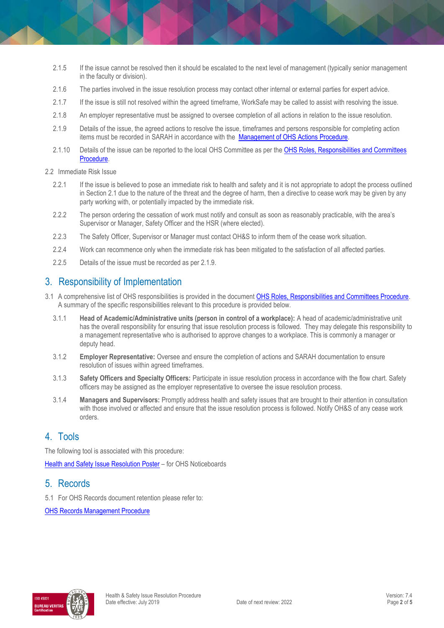- 2.1.5 If the issue cannot be resolved then it should be escalated to the next level of management (typically senior management in the faculty or division).
- 2.1.6 The parties involved in the issue resolution process may contact other internal or external parties for expert advice.
- 2.1.7 If the issue is still not resolved within the agreed timeframe, WorkSafe may be called to assist with resolving the issue.
- 2.1.8 An employer representative must be assigned to oversee completion of all actions in relation to the issue resolution.
- 2.1.9 Details of the issue, the agreed actions to resolve the issue, timeframes and persons responsible for completing action items must be recorded in SARAH in accordance with the [Management of OHS Actions Procedure.](https://publicpolicydms.monash.edu/Monash/documents/1935618)
- 2.1.10 Details of the issue can be reported to the local OHS Committee as per the OHS Roles, Responsibilities and Committees [Procedure.](https://publicpolicydms.monash.edu/Monash/documents/1935644)
- 2.2 Immediate Risk Issue
	- 2.2.1 If the issue is believed to pose an immediate risk to health and safety and it is not appropriate to adopt the process outlined in Section 2.1 due to the nature of the threat and the degree of harm, then a directive to cease work may be given by any party working with, or potentially impacted by the immediate risk.
	- 2.2.2 The person ordering the cessation of work must notify and consult as soon as reasonably practicable, with the area's Supervisor or Manager, Safety Officer and the HSR (where elected).
	- 2.2.3 The Safety Officer, Supervisor or Manager must contact OH&S to inform them of the cease work situation.
	- 2.2.4 Work can recommence only when the immediate risk has been mitigated to the satisfaction of all affected parties.
	- 2.2.5 Details of the issue must be recorded as per 2.1.9.

## 3. Responsibility of Implementation

- 3.1 A comprehensive list of OHS responsibilities is provided in the document [OHS Roles, Responsibilities and Committees Procedure.](https://publicpolicydms.monash.edu/Monash/documents/1935644) A summary of the specific responsibilities relevant to this procedure is provided below.
	- 3.1.1 **Head of Academic/Administrative units (person in control of a workplace):** A head of academic/administrative unit has the overall responsibility for ensuring that issue resolution process is followed. They may delegate this responsibility to a management representative who is authorised to approve changes to a workplace. This is commonly a manager or deputy head.
	- 3.1.2 **Employer Representative:** Oversee and ensure the completion of actions and SARAH documentation to ensure resolution of issues within agreed timeframes.
	- 3.1.3 **Safety Officers and Specialty Officers:** Participate in issue resolution process in accordance with the flow chart. Safety officers may be assigned as the employer representative to oversee the issue resolution process.
	- 3.1.4 **Managers and Supervisors:** Promptly address health and safety issues that are brought to their attention in consultation with those involved or affected and ensure that the issue resolution process is followed. Notify OH&S of any cease work orders.

## 4. Tools

The following tool is associated with this procedure:

[Health and Safety Issue Resolution Poster](https://www.monash.edu/__data/assets/pdf_file/0006/1912623/issue-resolution-poster.pdf) - for OHS Noticeboards

### 5. Records

5.1 For OHS Records document retention please refer to:

[OHS Records Management Procedure](https://publicpolicydms.monash.edu/Monash/documents/1935642)

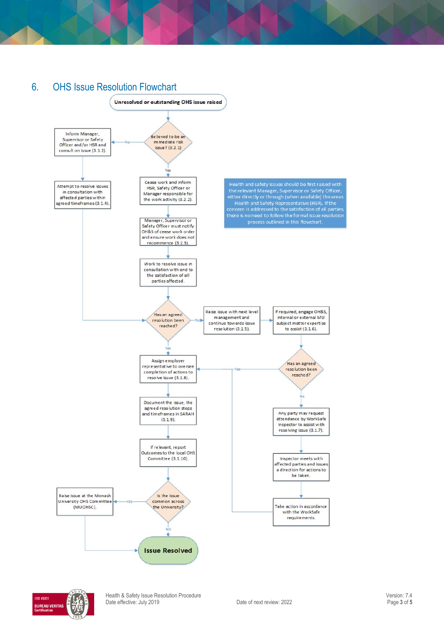# 6. OHS Issue Resolution Flowchart



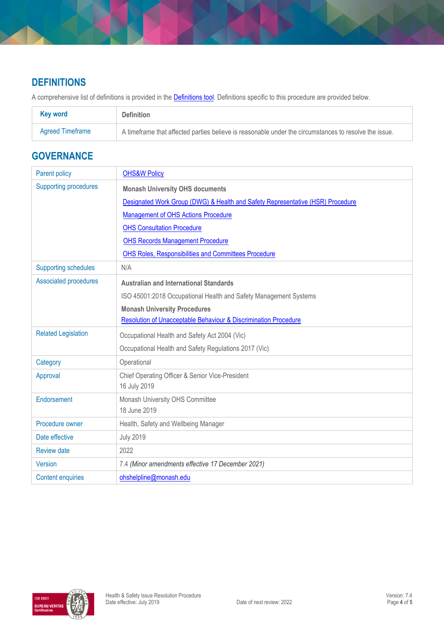## **DEFINITIONS**

A comprehensive list of definitions is provided in the **Definitions tool**. Definitions specific to this procedure are provided below.

| <b>Key word</b>  | <b>Definition</b>                                                                                      |
|------------------|--------------------------------------------------------------------------------------------------------|
| Agreed Timeframe | A time frame that affected parties believe is reasonable under the circumstances to resolve the issue. |

## **GOVERNANCE**

| Parent policy                | <b>OHS&amp;W Policy</b>                                                        |
|------------------------------|--------------------------------------------------------------------------------|
| <b>Supporting procedures</b> | <b>Monash University OHS documents</b>                                         |
|                              | Designated Work Group (DWG) & Health and Safety Representative (HSR) Procedure |
|                              | <b>Management of OHS Actions Procedure</b>                                     |
|                              | <b>OHS Consultation Procedure</b>                                              |
|                              | <b>OHS Records Management Procedure</b>                                        |
|                              | OHS Roles, Responsibilities and Committees Procedure                           |
| <b>Supporting schedules</b>  | N/A                                                                            |
| <b>Associated procedures</b> | <b>Australian and International Standards</b>                                  |
|                              | ISO 45001:2018 Occupational Health and Safety Management Systems               |
|                              | <b>Monash University Procedures</b>                                            |
|                              | Resolution of Unacceptable Behaviour & Discrimination Procedure                |
| <b>Related Legislation</b>   | Occupational Health and Safety Act 2004 (Vic)                                  |
|                              | Occupational Health and Safety Regulations 2017 (Vic)                          |
| Category                     | Operational                                                                    |
| Approval                     | Chief Operating Officer & Senior Vice-President                                |
|                              | 16 July 2019                                                                   |
| Endorsement                  | Monash University OHS Committee                                                |
|                              | 18 June 2019                                                                   |
| Procedure owner              | Health, Safety and Wellbeing Manager                                           |
| Date effective               | <b>July 2019</b>                                                               |
| <b>Review date</b>           | 2022                                                                           |
| <b>Version</b>               | 7.4 (Minor amendments effective 17 December 2021)                              |
| <b>Content enquiries</b>     | ohshelpline@monash.edu                                                         |